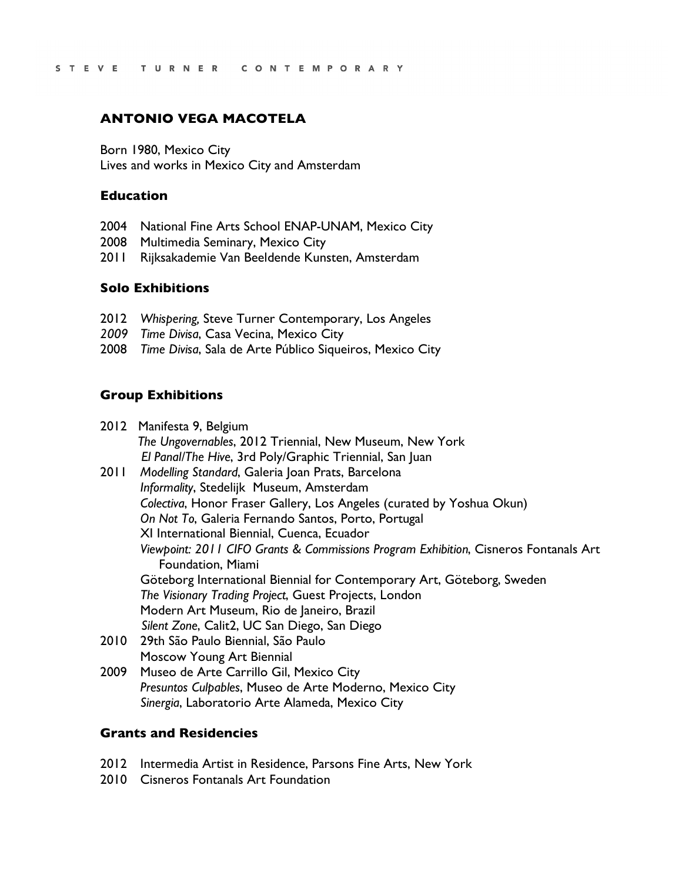# **ANTONIO VEGA MACOTELA**

Born 1980, Mexico City Lives and works in Mexico City and Amsterdam

#### **Education**

- 2004 National Fine Arts School ENAP-UNAM, Mexico City
- 2008 Multimedia Seminary, Mexico City
- 2011 Rijksakademie Van Beeldende Kunsten, Amsterdam

## **Solo Exhibitions**

- 2012 *Whispering,* Steve Turner Contemporary, Los Angeles
- *2009 Time Divisa*, Casa Vecina, Mexico City
- 2008 *Time Divisa*, Sala de Arte Público Siqueiros, Mexico City

## **Group Exhibitions**

|      | 2012 Manifesta 9, Belgium                                                            |  |  |  |  |  |  |  |  |  |  |  |
|------|--------------------------------------------------------------------------------------|--|--|--|--|--|--|--|--|--|--|--|
|      | The Ungovernables, 2012 Triennial, New Museum, New York                              |  |  |  |  |  |  |  |  |  |  |  |
|      | El Panal/The Hive, 3rd Poly/Graphic Triennial, San Juan                              |  |  |  |  |  |  |  |  |  |  |  |
| 2011 | Modelling Standard, Galeria Joan Prats, Barcelona                                    |  |  |  |  |  |  |  |  |  |  |  |
|      | Informality, Stedelijk Museum, Amsterdam                                             |  |  |  |  |  |  |  |  |  |  |  |
|      | Colectiva, Honor Fraser Gallery, Los Angeles (curated by Yoshua Okun)                |  |  |  |  |  |  |  |  |  |  |  |
|      | On Not To, Galeria Fernando Santos, Porto, Portugal                                  |  |  |  |  |  |  |  |  |  |  |  |
|      | XI International Biennial, Cuenca, Ecuador                                           |  |  |  |  |  |  |  |  |  |  |  |
|      | Viewpoint: 2011 CIFO Grants & Commissions Program Exhibition, Cisneros Fontanals Art |  |  |  |  |  |  |  |  |  |  |  |
|      | Foundation, Miami                                                                    |  |  |  |  |  |  |  |  |  |  |  |
|      | Göteborg International Biennial for Contemporary Art, Göteborg, Sweden               |  |  |  |  |  |  |  |  |  |  |  |
|      | The Visionary Trading Project, Guest Projects, London                                |  |  |  |  |  |  |  |  |  |  |  |
|      | Modern Art Museum, Rio de Janeiro, Brazil                                            |  |  |  |  |  |  |  |  |  |  |  |
|      | Silent Zone, Calit2, UC San Diego, San Diego                                         |  |  |  |  |  |  |  |  |  |  |  |
| 2010 | 29th São Paulo Biennial, São Paulo                                                   |  |  |  |  |  |  |  |  |  |  |  |
|      | Moscow Young Art Biennial                                                            |  |  |  |  |  |  |  |  |  |  |  |
| 2009 | Museo de Arte Carrillo Gil Mexico City                                               |  |  |  |  |  |  |  |  |  |  |  |

2009 Museo de Arte Carrillo Gil, Mexico City *Presuntos Culpables*, Museo de Arte Moderno, Mexico City *Sinergia*, Laboratorio Arte Alameda, Mexico City

#### **Grants and Residencies**

- 2012 Intermedia Artist in Residence, Parsons Fine Arts, New York
- 2010 Cisneros Fontanals Art Foundation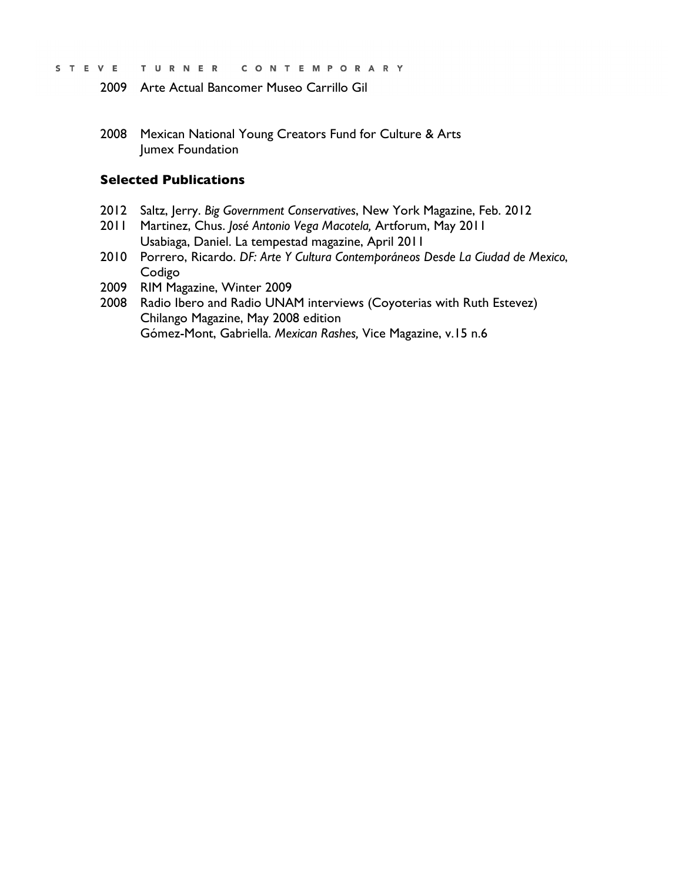- STEVE TURNER CONTEMPORARY
	- 2009 Arte Actual Bancomer Museo Carrillo Gil
	- 2008 Mexican National Young Creators Fund for Culture & Arts Jumex Foundation

## **Selected Publications**

- 2012 Saltz, Jerry. *Big Government Conservatives*, New York Magazine, Feb. 2012
- 2011 Martinez, Chus. *José Antonio Vega Macotela,* Artforum, May 2011 Usabiaga, Daniel. La tempestad magazine, April 2011
- 2010 Porrero, Ricardo. *DF: Arte Y Cultura Contemporáneos Desde La Ciudad de Mexico*, Codigo
- 2009 RIM Magazine, Winter 2009
- 2008 Radio Ibero and Radio UNAM interviews (Coyoterias with Ruth Estevez) Chilango Magazine, May 2008 edition Gómez-Mont, Gabriella. *Mexican Rashes,* Vice Magazine, v.15 n.6